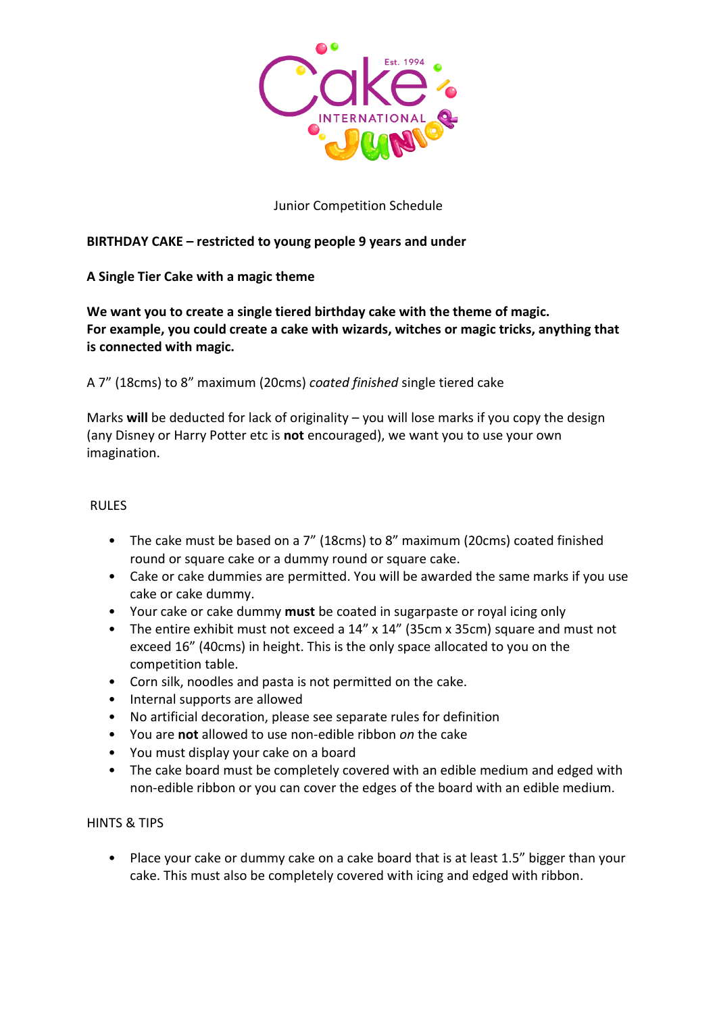

## Junior Competition Schedule

# **BIRTHDAY CAKE – restricted to young people 9 years and under**

# **A Single Tier Cake with a magic theme**

**We want you to create a single tiered birthday cake with the theme of magic. For example, you could create a cake with wizards, witches or magic tricks, anything that is connected with magic.**

A 7" (18cms) to 8" maximum (20cms) *coated finished* single tiered cake

Marks **will** be deducted for lack of originality – you will lose marks if you copy the design (any Disney or Harry Potter etc is **not** encouraged), we want you to use your own imagination.

### RULES

- The cake must be based on a 7" (18cms) to 8" maximum (20cms) coated finished round or square cake or a dummy round or square cake.
- Cake or cake dummies are permitted. You will be awarded the same marks if you use cake or cake dummy.
- Your cake or cake dummy **must** be coated in sugarpaste or royal icing only
- The entire exhibit must not exceed a 14" x 14" (35cm x 35cm) square and must not exceed 16" (40cms) in height. This is the only space allocated to you on the competition table.
- Corn silk, noodles and pasta is not permitted on the cake.
- Internal supports are allowed
- No artificial decoration, please see separate rules for definition
- You are **not** allowed to use non-edible ribbon *on* the cake
- You must display your cake on a board
- The cake board must be completely covered with an edible medium and edged with non-edible ribbon or you can cover the edges of the board with an edible medium.

## HINTS & TIPS

• Place your cake or dummy cake on a cake board that is at least 1.5" bigger than your cake. This must also be completely covered with icing and edged with ribbon.